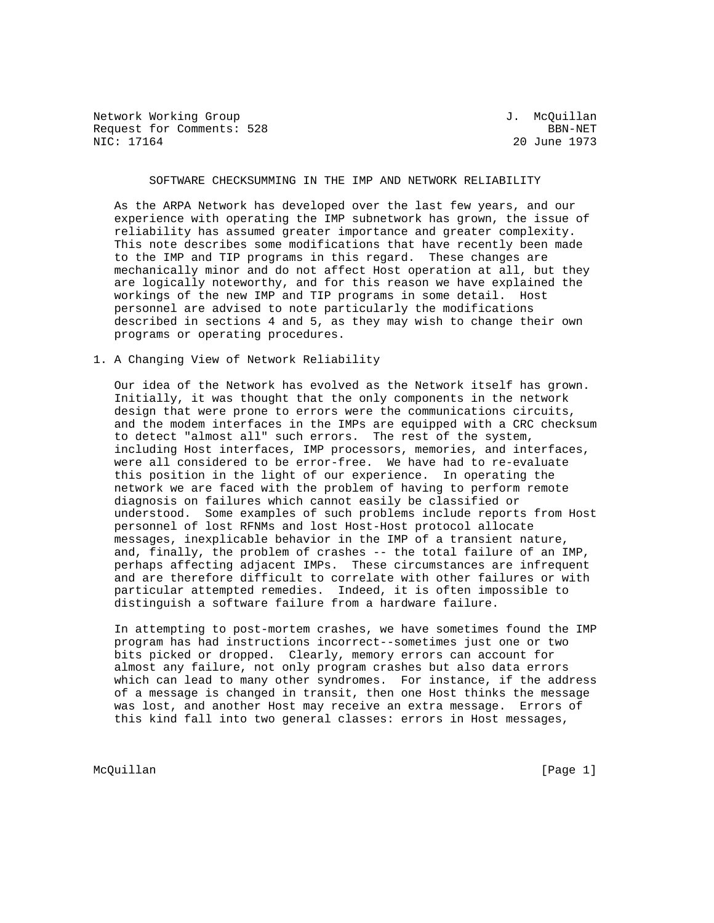Network Working Group 3. McQuillan Request for Comments: 528 BBN-NET NIC: 17164 BBN-NET

20 June 1973

## SOFTWARE CHECKSUMMING IN THE IMP AND NETWORK RELIABILITY

 As the ARPA Network has developed over the last few years, and our experience with operating the IMP subnetwork has grown, the issue of reliability has assumed greater importance and greater complexity. This note describes some modifications that have recently been made to the IMP and TIP programs in this regard. These changes are mechanically minor and do not affect Host operation at all, but they are logically noteworthy, and for this reason we have explained the workings of the new IMP and TIP programs in some detail. Host personnel are advised to note particularly the modifications described in sections 4 and 5, as they may wish to change their own programs or operating procedures.

## 1. A Changing View of Network Reliability

 Our idea of the Network has evolved as the Network itself has grown. Initially, it was thought that the only components in the network design that were prone to errors were the communications circuits, and the modem interfaces in the IMPs are equipped with a CRC checksum to detect "almost all" such errors. The rest of the system, including Host interfaces, IMP processors, memories, and interfaces, were all considered to be error-free. We have had to re-evaluate this position in the light of our experience. In operating the network we are faced with the problem of having to perform remote diagnosis on failures which cannot easily be classified or understood. Some examples of such problems include reports from Host personnel of lost RFNMs and lost Host-Host protocol allocate messages, inexplicable behavior in the IMP of a transient nature, and, finally, the problem of crashes -- the total failure of an IMP, perhaps affecting adjacent IMPs. These circumstances are infrequent and are therefore difficult to correlate with other failures or with particular attempted remedies. Indeed, it is often impossible to distinguish a software failure from a hardware failure.

 In attempting to post-mortem crashes, we have sometimes found the IMP program has had instructions incorrect--sometimes just one or two bits picked or dropped. Clearly, memory errors can account for almost any failure, not only program crashes but also data errors which can lead to many other syndromes. For instance, if the address of a message is changed in transit, then one Host thinks the message was lost, and another Host may receive an extra message. Errors of this kind fall into two general classes: errors in Host messages,

McQuillan [Page 1]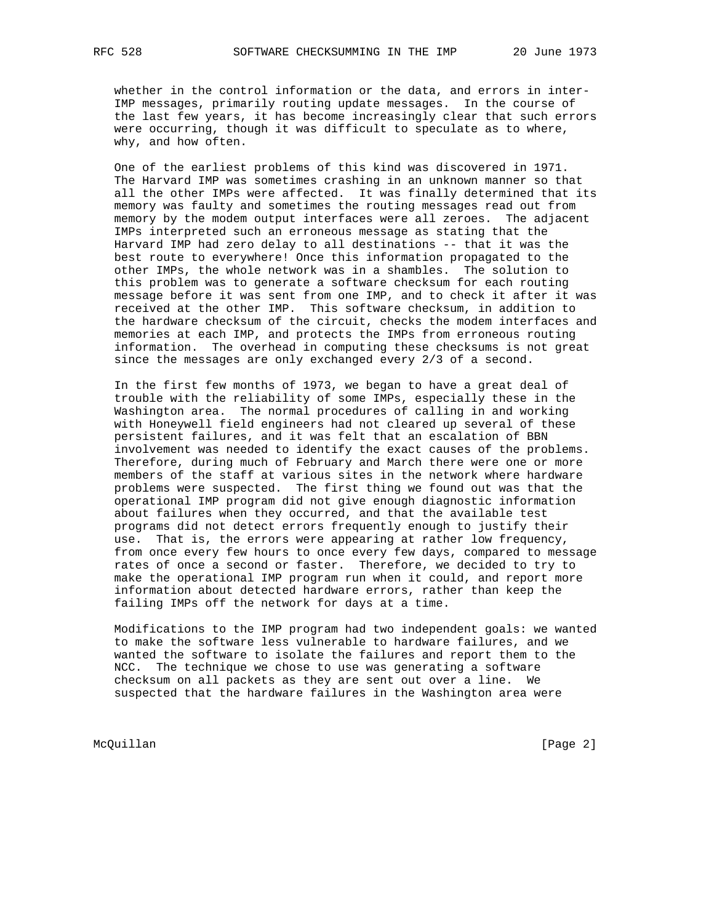whether in the control information or the data, and errors in inter- IMP messages, primarily routing update messages. In the course of the last few years, it has become increasingly clear that such errors were occurring, though it was difficult to speculate as to where, why, and how often.

 One of the earliest problems of this kind was discovered in 1971. The Harvard IMP was sometimes crashing in an unknown manner so that all the other IMPs were affected. It was finally determined that its memory was faulty and sometimes the routing messages read out from memory by the modem output interfaces were all zeroes. The adjacent IMPs interpreted such an erroneous message as stating that the Harvard IMP had zero delay to all destinations -- that it was the best route to everywhere! Once this information propagated to the other IMPs, the whole network was in a shambles. The solution to this problem was to generate a software checksum for each routing message before it was sent from one IMP, and to check it after it was received at the other IMP. This software checksum, in addition to the hardware checksum of the circuit, checks the modem interfaces and memories at each IMP, and protects the IMPs from erroneous routing information. The overhead in computing these checksums is not great since the messages are only exchanged every 2/3 of a second.

 In the first few months of 1973, we began to have a great deal of trouble with the reliability of some IMPs, especially these in the Washington area. The normal procedures of calling in and working with Honeywell field engineers had not cleared up several of these persistent failures, and it was felt that an escalation of BBN involvement was needed to identify the exact causes of the problems. Therefore, during much of February and March there were one or more members of the staff at various sites in the network where hardware problems were suspected. The first thing we found out was that the operational IMP program did not give enough diagnostic information about failures when they occurred, and that the available test programs did not detect errors frequently enough to justify their use. That is, the errors were appearing at rather low frequency, from once every few hours to once every few days, compared to message rates of once a second or faster. Therefore, we decided to try to make the operational IMP program run when it could, and report more information about detected hardware errors, rather than keep the failing IMPs off the network for days at a time.

 Modifications to the IMP program had two independent goals: we wanted to make the software less vulnerable to hardware failures, and we wanted the software to isolate the failures and report them to the NCC. The technique we chose to use was generating a software checksum on all packets as they are sent out over a line. We suspected that the hardware failures in the Washington area were

McQuillan [Page 2]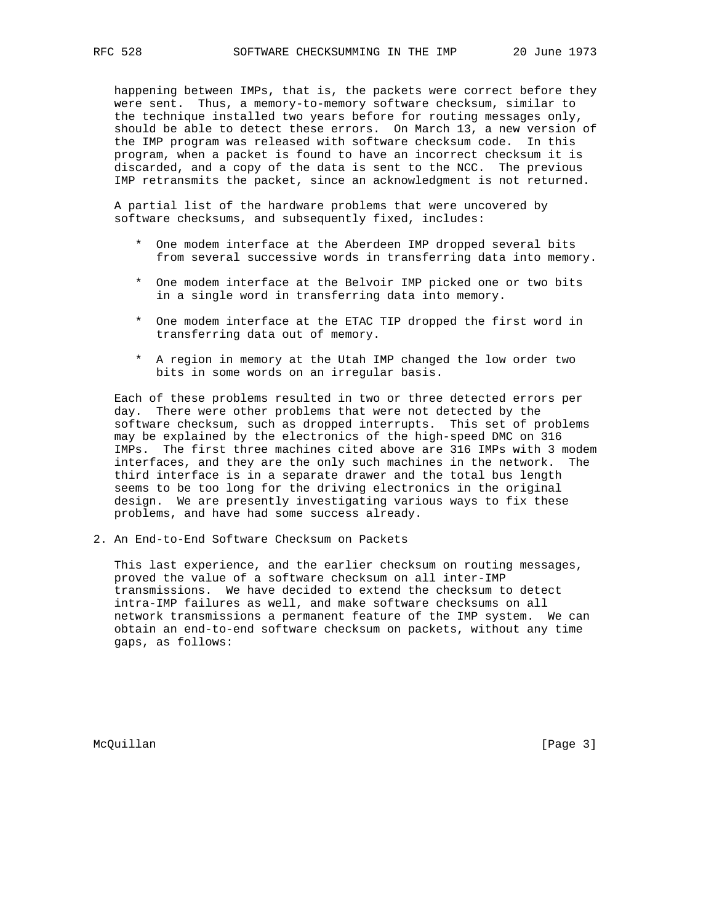happening between IMPs, that is, the packets were correct before they were sent. Thus, a memory-to-memory software checksum, similar to the technique installed two years before for routing messages only, should be able to detect these errors. On March 13, a new version of the IMP program was released with software checksum code. In this program, when a packet is found to have an incorrect checksum it is discarded, and a copy of the data is sent to the NCC. The previous IMP retransmits the packet, since an acknowledgment is not returned.

 A partial list of the hardware problems that were uncovered by software checksums, and subsequently fixed, includes:

- \* One modem interface at the Aberdeen IMP dropped several bits from several successive words in transferring data into memory.
- \* One modem interface at the Belvoir IMP picked one or two bits in a single word in transferring data into memory.
- \* One modem interface at the ETAC TIP dropped the first word in transferring data out of memory.
- \* A region in memory at the Utah IMP changed the low order two bits in some words on an irregular basis.

 Each of these problems resulted in two or three detected errors per day. There were other problems that were not detected by the software checksum, such as dropped interrupts. This set of problems may be explained by the electronics of the high-speed DMC on 316 IMPs. The first three machines cited above are 316 IMPs with 3 modem interfaces, and they are the only such machines in the network. The third interface is in a separate drawer and the total bus length seems to be too long for the driving electronics in the original design. We are presently investigating various ways to fix these problems, and have had some success already.

2. An End-to-End Software Checksum on Packets

 This last experience, and the earlier checksum on routing messages, proved the value of a software checksum on all inter-IMP transmissions. We have decided to extend the checksum to detect intra-IMP failures as well, and make software checksums on all network transmissions a permanent feature of the IMP system. We can obtain an end-to-end software checksum on packets, without any time gaps, as follows:

McQuillan [Page 3]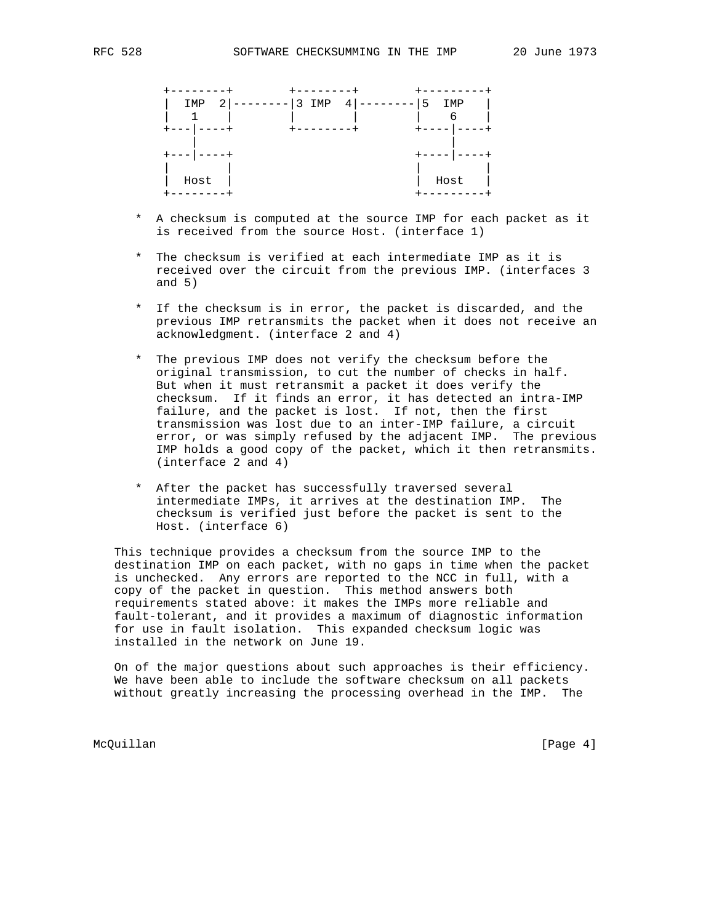| 2<br>IMP | 3<br>IMP | 4 | 5<br>IMP |
|----------|----------|---|----------|
|          |          |   | 6        |
|          | --       |   |          |
|          |          |   |          |
| $- -$    |          |   |          |
|          |          |   |          |
| Host     |          |   | Host     |
|          |          |   |          |

- \* A checksum is computed at the source IMP for each packet as it is received from the source Host. (interface 1)
- \* The checksum is verified at each intermediate IMP as it is received over the circuit from the previous IMP. (interfaces 3 and  $5)$
- \* If the checksum is in error, the packet is discarded, and the previous IMP retransmits the packet when it does not receive an acknowledgment. (interface 2 and 4)
- \* The previous IMP does not verify the checksum before the original transmission, to cut the number of checks in half. But when it must retransmit a packet it does verify the checksum. If it finds an error, it has detected an intra-IMP failure, and the packet is lost. If not, then the first transmission was lost due to an inter-IMP failure, a circuit error, or was simply refused by the adjacent IMP. The previous IMP holds a good copy of the packet, which it then retransmits. (interface 2 and 4)
	- \* After the packet has successfully traversed several intermediate IMPs, it arrives at the destination IMP. The checksum is verified just before the packet is sent to the Host. (interface 6)

 This technique provides a checksum from the source IMP to the destination IMP on each packet, with no gaps in time when the packet is unchecked. Any errors are reported to the NCC in full, with a copy of the packet in question. This method answers both requirements stated above: it makes the IMPs more reliable and fault-tolerant, and it provides a maximum of diagnostic information for use in fault isolation. This expanded checksum logic was installed in the network on June 19.

 On of the major questions about such approaches is their efficiency. We have been able to include the software checksum on all packets without greatly increasing the processing overhead in the IMP. The

McQuillan [Page 4]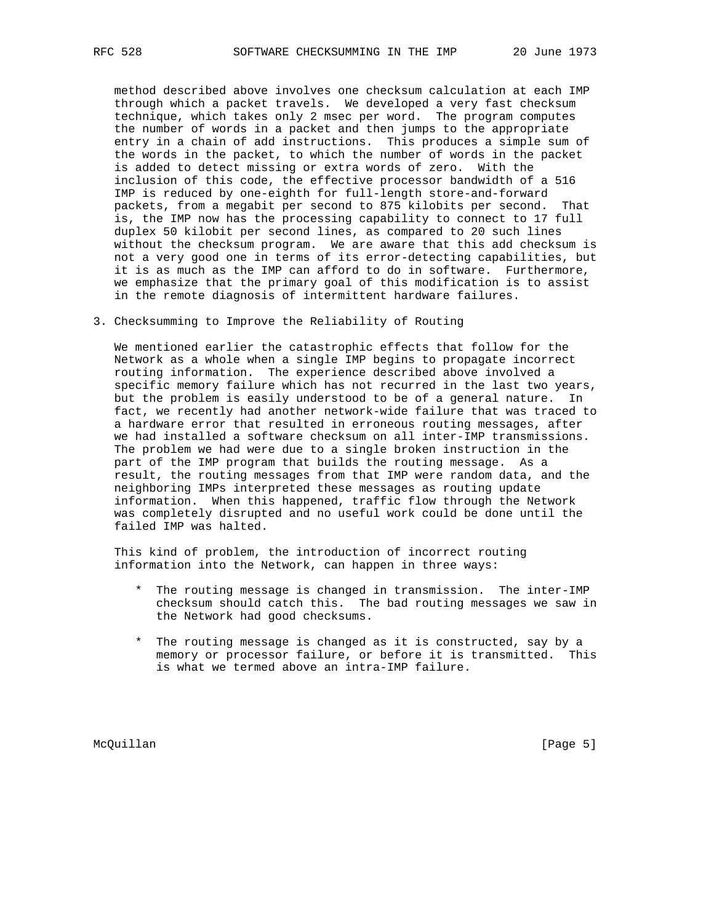method described above involves one checksum calculation at each IMP through which a packet travels. We developed a very fast checksum technique, which takes only 2 msec per word. The program computes the number of words in a packet and then jumps to the appropriate entry in a chain of add instructions. This produces a simple sum of the words in the packet, to which the number of words in the packet is added to detect missing or extra words of zero. With the inclusion of this code, the effective processor bandwidth of a 516 IMP is reduced by one-eighth for full-length store-and-forward packets, from a megabit per second to 875 kilobits per second. That is, the IMP now has the processing capability to connect to 17 full duplex 50 kilobit per second lines, as compared to 20 such lines without the checksum program. We are aware that this add checksum is not a very good one in terms of its error-detecting capabilities, but it is as much as the IMP can afford to do in software. Furthermore, we emphasize that the primary goal of this modification is to assist in the remote diagnosis of intermittent hardware failures.

3. Checksumming to Improve the Reliability of Routing

 We mentioned earlier the catastrophic effects that follow for the Network as a whole when a single IMP begins to propagate incorrect routing information. The experience described above involved a specific memory failure which has not recurred in the last two years, but the problem is easily understood to be of a general nature. In fact, we recently had another network-wide failure that was traced to a hardware error that resulted in erroneous routing messages, after we had installed a software checksum on all inter-IMP transmissions. The problem we had were due to a single broken instruction in the part of the IMP program that builds the routing message. As a result, the routing messages from that IMP were random data, and the neighboring IMPs interpreted these messages as routing update information. When this happened, traffic flow through the Network was completely disrupted and no useful work could be done until the failed IMP was halted.

 This kind of problem, the introduction of incorrect routing information into the Network, can happen in three ways:

- \* The routing message is changed in transmission. The inter-IMP checksum should catch this. The bad routing messages we saw in the Network had good checksums.
- \* The routing message is changed as it is constructed, say by a memory or processor failure, or before it is transmitted. This is what we termed above an intra-IMP failure.

McQuillan [Page 5]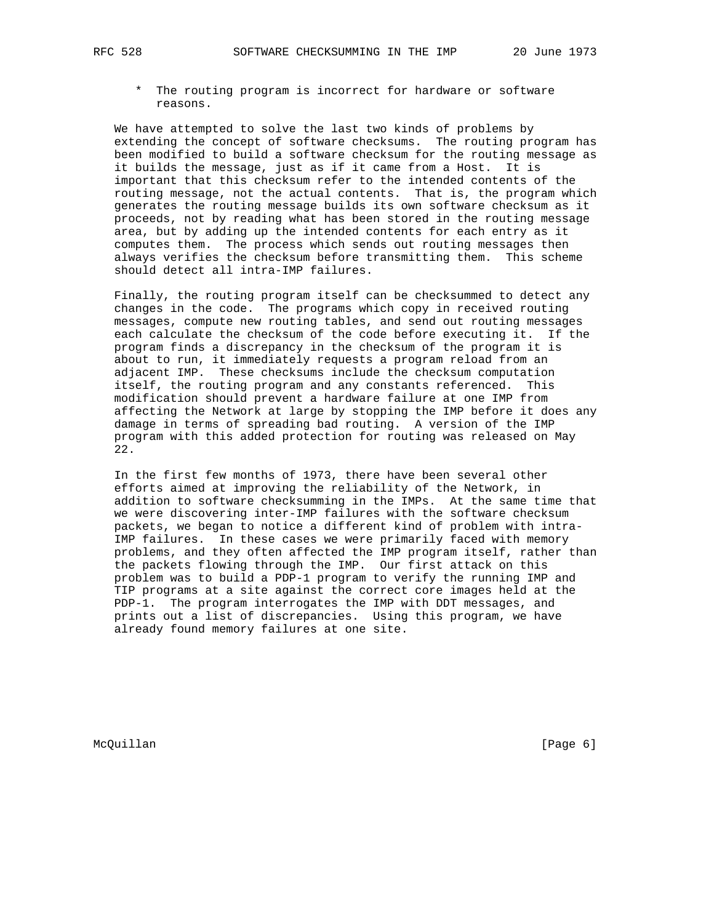\* The routing program is incorrect for hardware or software reasons.

 We have attempted to solve the last two kinds of problems by extending the concept of software checksums. The routing program has been modified to build a software checksum for the routing message as it builds the message, just as if it came from a Host. It is important that this checksum refer to the intended contents of the routing message, not the actual contents. That is, the program which generates the routing message builds its own software checksum as it proceeds, not by reading what has been stored in the routing message area, but by adding up the intended contents for each entry as it computes them. The process which sends out routing messages then always verifies the checksum before transmitting them. This scheme should detect all intra-IMP failures.

 Finally, the routing program itself can be checksummed to detect any changes in the code. The programs which copy in received routing messages, compute new routing tables, and send out routing messages each calculate the checksum of the code before executing it. If the program finds a discrepancy in the checksum of the program it is about to run, it immediately requests a program reload from an adjacent IMP. These checksums include the checksum computation itself, the routing program and any constants referenced. This modification should prevent a hardware failure at one IMP from affecting the Network at large by stopping the IMP before it does any damage in terms of spreading bad routing. A version of the IMP program with this added protection for routing was released on May 22.

 In the first few months of 1973, there have been several other efforts aimed at improving the reliability of the Network, in addition to software checksumming in the IMPs. At the same time that we were discovering inter-IMP failures with the software checksum packets, we began to notice a different kind of problem with intra- IMP failures. In these cases we were primarily faced with memory problems, and they often affected the IMP program itself, rather than the packets flowing through the IMP. Our first attack on this problem was to build a PDP-1 program to verify the running IMP and TIP programs at a site against the correct core images held at the PDP-1. The program interrogates the IMP with DDT messages, and prints out a list of discrepancies. Using this program, we have already found memory failures at one site.

McQuillan [Page 6]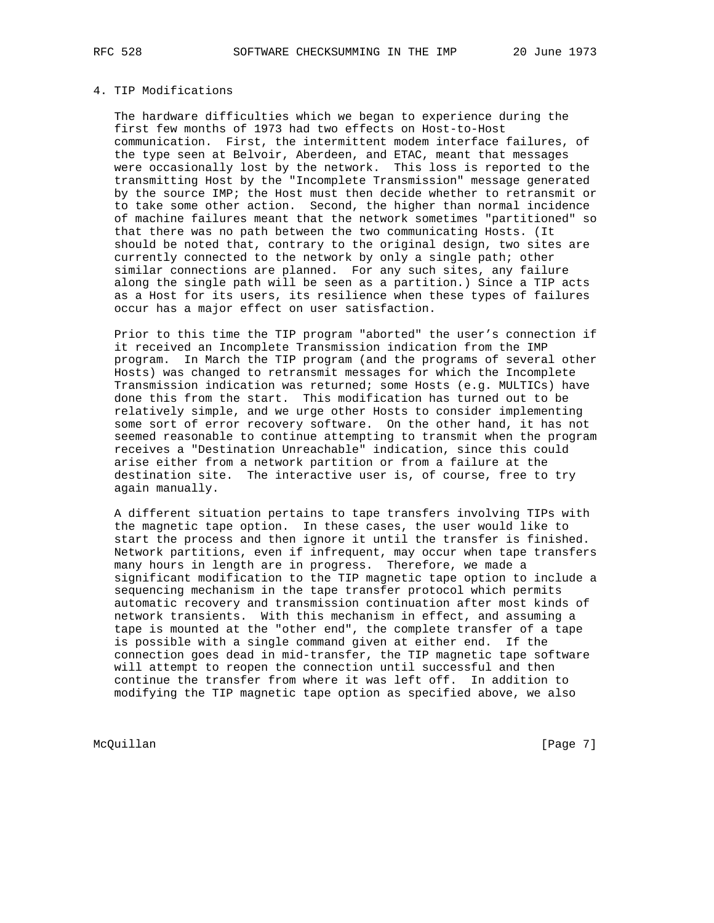4. TIP Modifications

 The hardware difficulties which we began to experience during the first few months of 1973 had two effects on Host-to-Host communication. First, the intermittent modem interface failures, of the type seen at Belvoir, Aberdeen, and ETAC, meant that messages were occasionally lost by the network. This loss is reported to the transmitting Host by the "Incomplete Transmission" message generated by the source IMP; the Host must then decide whether to retransmit or to take some other action. Second, the higher than normal incidence of machine failures meant that the network sometimes "partitioned" so that there was no path between the two communicating Hosts. (It should be noted that, contrary to the original design, two sites are currently connected to the network by only a single path; other similar connections are planned. For any such sites, any failure along the single path will be seen as a partition.) Since a TIP acts as a Host for its users, its resilience when these types of failures occur has a major effect on user satisfaction.

 Prior to this time the TIP program "aborted" the user's connection if it received an Incomplete Transmission indication from the IMP program. In March the TIP program (and the programs of several other Hosts) was changed to retransmit messages for which the Incomplete Transmission indication was returned; some Hosts (e.g. MULTICs) have done this from the start. This modification has turned out to be relatively simple, and we urge other Hosts to consider implementing some sort of error recovery software. On the other hand, it has not seemed reasonable to continue attempting to transmit when the program receives a "Destination Unreachable" indication, since this could arise either from a network partition or from a failure at the destination site. The interactive user is, of course, free to try again manually.

 A different situation pertains to tape transfers involving TIPs with the magnetic tape option. In these cases, the user would like to start the process and then ignore it until the transfer is finished. Network partitions, even if infrequent, may occur when tape transfers many hours in length are in progress. Therefore, we made a significant modification to the TIP magnetic tape option to include a sequencing mechanism in the tape transfer protocol which permits automatic recovery and transmission continuation after most kinds of network transients. With this mechanism in effect, and assuming a tape is mounted at the "other end", the complete transfer of a tape is possible with a single command given at either end. If the connection goes dead in mid-transfer, the TIP magnetic tape software will attempt to reopen the connection until successful and then continue the transfer from where it was left off. In addition to modifying the TIP magnetic tape option as specified above, we also

McQuillan [Page 7]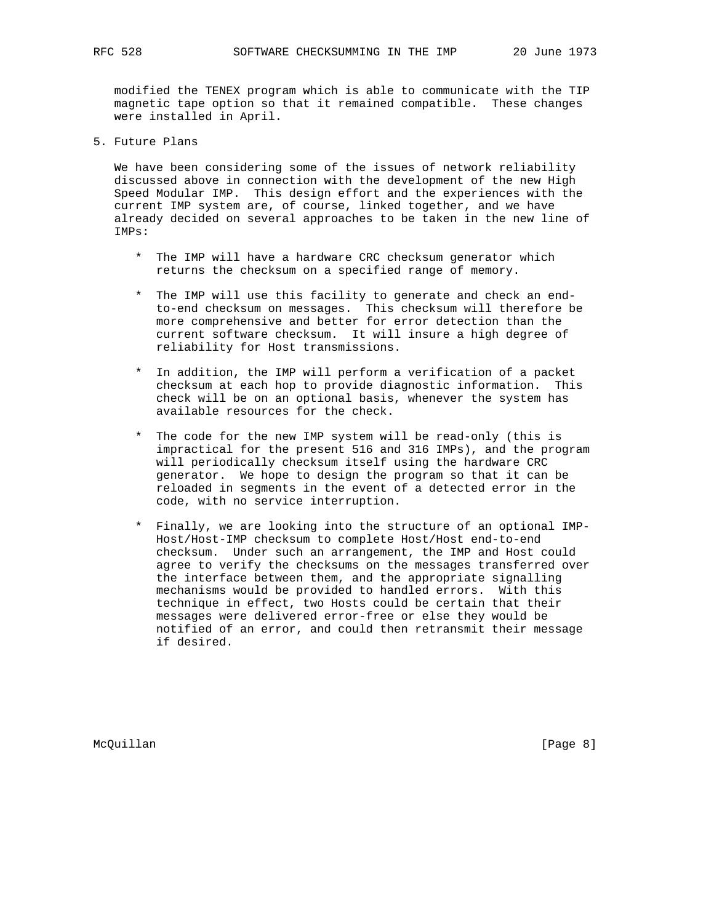modified the TENEX program which is able to communicate with the TIP magnetic tape option so that it remained compatible. These changes were installed in April.

5. Future Plans

 We have been considering some of the issues of network reliability discussed above in connection with the development of the new High Speed Modular IMP. This design effort and the experiences with the current IMP system are, of course, linked together, and we have already decided on several approaches to be taken in the new line of IMPs:

- \* The IMP will have a hardware CRC checksum generator which returns the checksum on a specified range of memory.
- \* The IMP will use this facility to generate and check an end to-end checksum on messages. This checksum will therefore be more comprehensive and better for error detection than the current software checksum. It will insure a high degree of reliability for Host transmissions.
- \* In addition, the IMP will perform a verification of a packet checksum at each hop to provide diagnostic information. This check will be on an optional basis, whenever the system has available resources for the check.
- \* The code for the new IMP system will be read-only (this is impractical for the present 516 and 316 IMPs), and the program will periodically checksum itself using the hardware CRC generator. We hope to design the program so that it can be reloaded in segments in the event of a detected error in the code, with no service interruption.
- \* Finally, we are looking into the structure of an optional IMP- Host/Host-IMP checksum to complete Host/Host end-to-end checksum. Under such an arrangement, the IMP and Host could agree to verify the checksums on the messages transferred over the interface between them, and the appropriate signalling mechanisms would be provided to handled errors. With this technique in effect, two Hosts could be certain that their messages were delivered error-free or else they would be notified of an error, and could then retransmit their message if desired.

McQuillan [Page 8]